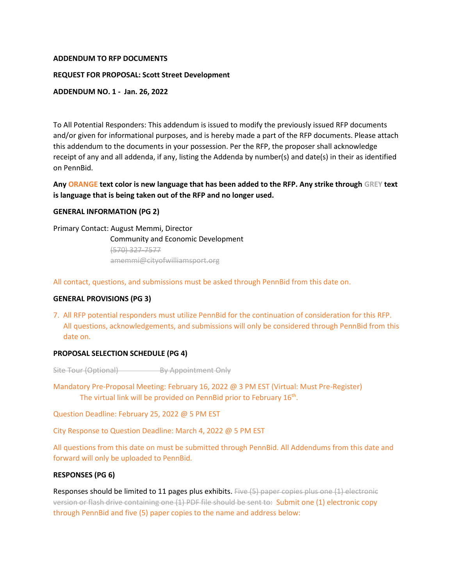### **ADDENDUM TO RFP DOCUMENTS**

### **REQUEST FOR PROPOSAL: Scott Street Development**

### **ADDENDUM NO. 1 - Jan. 26, 2022**

To All Potential Responders: This addendum is issued to modify the previously issued RFP documents and/or given for informational purposes, and is hereby made a part of the RFP documents. Please attach this addendum to the documents in your possession. Per the RFP, the proposer shall acknowledge receipt of any and all addenda, if any, listing the Addenda by number(s) and date(s) in their as identified on PennBid.

# **Any ORANGE text color is new language that has been added to the RFP. Any strike through GREY text is language that is being taken out of the RFP and no longer used.**

## **GENERAL INFORMATION (PG 2)**

Primary Contact: August Memmi, Director Community and Economic Development (570) 327-7577 amemmi@cityofwilliamsport.org

All contact, questions, and submissions must be asked through PennBid from this date on.

#### **GENERAL PROVISIONS (PG 3)**

7. All RFP potential responders must utilize PennBid for the continuation of consideration for this RFP. All questions, acknowledgements, and submissions will only be considered through PennBid from this date on.

## **PROPOSAL SELECTION SCHEDULE (PG 4)**

Site Tour (Optional) By Appointment Only

Mandatory Pre-Proposal Meeting: February 16, 2022 @ 3 PM EST (Virtual: Must Pre-Register) The virtual link will be provided on PennBid prior to February 16<sup>th</sup>.

Question Deadline: February 25, 2022 @ 5 PM EST

City Response to Question Deadline: March 4, 2022 @ 5 PM EST

All questions from this date on must be submitted through PennBid. All Addendums from this date and forward will only be uploaded to PennBid.

#### **RESPONSES (PG 6)**

Responses should be limited to 11 pages plus exhibits. Five (5) paper copies plus one (1) electronic version or flash drive containing one (1) PDF file should be sent to: Submit one (1) electronic copy through PennBid and five (5) paper copies to the name and address below: